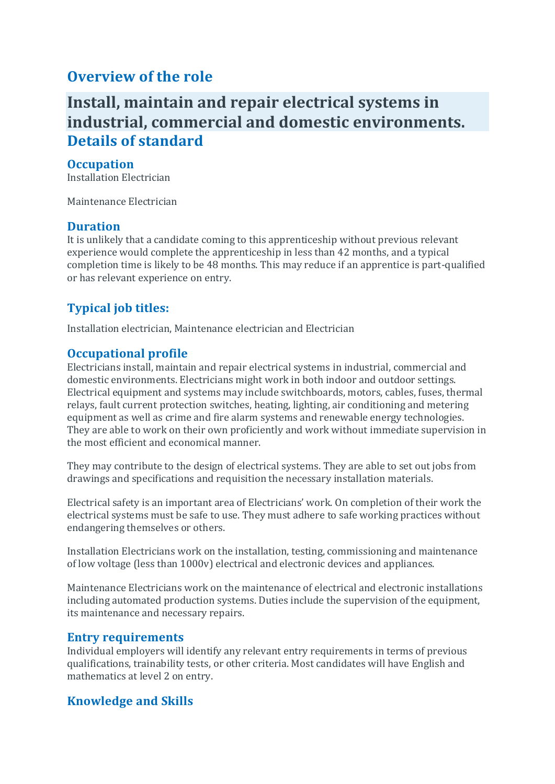## **Overview of the role**

# **Install, maintain and repair electrical systems in industrial, commercial and domestic environments. Details of standard**

#### **Occupation**

Installation Electrician

Maintenance Electrician

#### **Duration**

It is unlikely that a candidate coming to this apprenticeship without previous relevant experience would complete the apprenticeship in less than 42 months, and a typical completion time is likely to be 48 months. This may reduce if an apprentice is part-qualified or has relevant experience on entry.

### **Typical job titles:**

Installation electrician, Maintenance electrician and Electrician

#### **Occupational profile**

Electricians install, maintain and repair electrical systems in industrial, commercial and domestic environments. Electricians might work in both indoor and outdoor settings. Electrical equipment and systems may include switchboards, motors, cables, fuses, thermal relays, fault current protection switches, heating, lighting, air conditioning and metering equipment as well as crime and fire alarm systems and renewable energy technologies. They are able to work on their own proficiently and work without immediate supervision in the most efficient and economical manner.

They may contribute to the design of electrical systems. They are able to set out jobs from drawings and specifications and requisition the necessary installation materials.

Electrical safety is an important area of Electricians' work. On completion of their work the electrical systems must be safe to use. They must adhere to safe working practices without endangering themselves or others.

Installation Electricians work on the installation, testing, commissioning and maintenance of low voltage (less than 1000v) electrical and electronic devices and appliances.

Maintenance Electricians work on the maintenance of electrical and electronic installations including automated production systems. Duties include the supervision of the equipment, its maintenance and necessary repairs.

#### **Entry requirements**

Individual employers will identify any relevant entry requirements in terms of previous qualifications, trainability tests, or other criteria. Most candidates will have English and mathematics at level 2 on entry.

#### **Knowledge and Skills**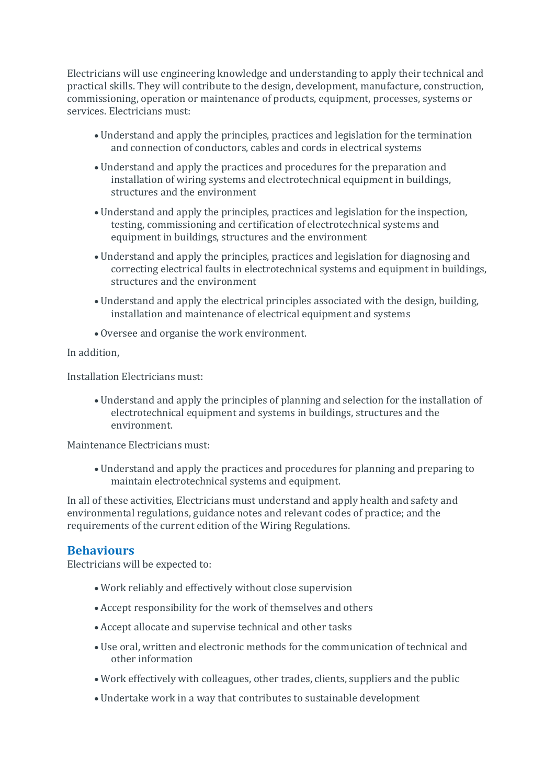Electricians will use engineering knowledge and understanding to apply their technical and practical skills. They will contribute to the design, development, manufacture, construction, commissioning, operation or maintenance of products, equipment, processes, systems or services. Electricians must:

- Understand and apply the principles, practices and legislation for the termination and connection of conductors, cables and cords in electrical systems
- Understand and apply the practices and procedures for the preparation and installation of wiring systems and electrotechnical equipment in buildings, structures and the environment
- Understand and apply the principles, practices and legislation for the inspection, testing, commissioning and certification of electrotechnical systems and equipment in buildings, structures and the environment
- Understand and apply the principles, practices and legislation for diagnosing and correcting electrical faults in electrotechnical systems and equipment in buildings, structures and the environment
- Understand and apply the electrical principles associated with the design, building, installation and maintenance of electrical equipment and systems
- Oversee and organise the work environment.

In addition,

Installation Electricians must:

• Understand and apply the principles of planning and selection for the installation of electrotechnical equipment and systems in buildings, structures and the environment.

Maintenance Electricians must:

• Understand and apply the practices and procedures for planning and preparing to maintain electrotechnical systems and equipment.

In all of these activities, Electricians must understand and apply health and safety and environmental regulations, guidance notes and relevant codes of practice; and the requirements of the current edition of the Wiring Regulations.

#### **Behaviours**

Electricians will be expected to:

- Work reliably and effectively without close supervision
- Accept responsibility for the work of themselves and others
- Accept allocate and supervise technical and other tasks
- Use oral, written and electronic methods for the communication of technical and other information
- Work effectively with colleagues, other trades, clients, suppliers and the public
- Undertake work in a way that contributes to sustainable development